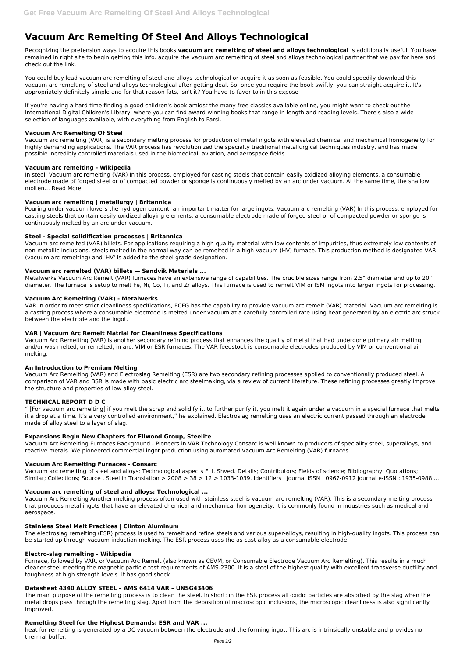# **Vacuum Arc Remelting Of Steel And Alloys Technological**

Recognizing the pretension ways to acquire this books **vacuum arc remelting of steel and alloys technological** is additionally useful. You have remained in right site to begin getting this info. acquire the vacuum arc remelting of steel and alloys technological partner that we pay for here and check out the link.

You could buy lead vacuum arc remelting of steel and alloys technological or acquire it as soon as feasible. You could speedily download this vacuum arc remelting of steel and alloys technological after getting deal. So, once you require the book swiftly, you can straight acquire it. It's appropriately definitely simple and for that reason fats, isn't it? You have to favor to in this expose

If you're having a hard time finding a good children's book amidst the many free classics available online, you might want to check out the International Digital Children's Library, where you can find award-winning books that range in length and reading levels. There's also a wide selection of languages available, with everything from English to Farsi.

#### **Vacuum Arc Remelting Of Steel**

Vacuum arc remelting (VAR) is a secondary melting process for production of metal ingots with elevated chemical and mechanical homogeneity for highly demanding applications. The VAR process has revolutionized the specialty traditional metallurgical techniques industry, and has made possible incredibly controlled materials used in the biomedical, aviation, and aerospace fields.

## **Vacuum arc remelting - Wikipedia**

In steel: Vacuum arc remelting (VAR) In this process, employed for casting steels that contain easily oxidized alloying elements, a consumable electrode made of forged steel or of compacted powder or sponge is continuously melted by an arc under vacuum. At the same time, the shallow molten… Read More

## **Vacuum arc remelting | metallurgy | Britannica**

Pouring under vacuum lowers the hydrogen content, an important matter for large ingots. Vacuum arc remelting (VAR) In this process, employed for casting steels that contain easily oxidized alloying elements, a consumable electrode made of forged steel or of compacted powder or sponge is continuously melted by an arc under vacuum.

## **Steel - Special solidification processes | Britannica**

Vacuum arc remelting of steel and alloys: Technological aspects F. I. Shved. Details; Contributors; Fields of science; Bibliography; Quotations; Similar; Collections; Source . Steel in Translation > 2008 > 38 > 12 > 1033-1039. Identifiers . journal ISSN : 0967-0912 journal e-ISSN : 1935-0988 ...

Vacuum arc remelted (VAR) billets. For applications requiring a high-quality material with low contents of impurities, thus extremely low contents of non-metallic inclusions, steels melted in the normal way can be remelted in a high-vacuum (HV) furnace. This production method is designated VAR (vacuum arc remelting) and 'HV' is added to the steel grade designation.

#### **Vacuum arc remelted (VAR) billets — Sandvik Materials ...**

Metalwerks Vacuum Arc Remelt (VAR) furnaces have an extensive range of capabilities. The crucible sizes range from 2.5" diameter and up to 20" diameter. The furnace is setup to melt Fe, Ni, Co, Ti, and Zr alloys. This furnace is used to remelt VIM or ISM ingots into larger ingots for processing.

#### **Vacuum Arc Remelting (VAR) - Metalwerks**

VAR In order to meet strict cleanliness specifications, ECFG has the capability to provide vacuum arc remelt (VAR) material. Vacuum arc remelting is a casting process where a consumable electrode is melted under vacuum at a carefully controlled rate using heat generated by an electric arc struck between the electrode and the ingot.

## **VAR | Vacuum Arc Remelt Matrial for Cleanliness Specifications**

Vacuum Arc Remelting (VAR) is another secondary refining process that enhances the quality of metal that had undergone primary air melting and/or was melted, or remelted, in arc, VIM or ESR furnaces. The VAR feedstock is consumable electrodes produced by VIM or conventional air melting.

#### **An Introduction to Premium Melting**

Vacuum Arc Remelting (VAR) and Electroslag Remelting (ESR) are two secondary refining processes applied to conventionally produced steel. A comparison of VAR and BSR is made with basic electric arc steelmaking, via a review of current literature. These refining processes greatly improve the structure and properties of low alloy steel.

## **TECHNICAL REPORT D D C**

" [For vacuum arc remelting] if you melt the scrap and solidify it, to further purify it, you melt it again under a vacuum in a special furnace that melts it a drop at a time. It's a very controlled environment," he explained. Electroslag remelting uses an electric current passed through an electrode made of alloy steel to a layer of slag.

## **Expansions Begin New Chapters for Ellwood Group, Steelite**

Vacuum Arc Remelting Furnaces Background - Pioneers in VAR Technology Consarc is well known to producers of speciality steel, superalloys, and reactive metals. We pioneered commercial ingot production using automated Vacuum Arc Remelting (VAR) furnaces.

#### **Vacuum Arc Remelting Furnaces - Consarc**

#### **Vacuum arc remelting of steel and alloys: Technological ...**

Vacuum Arc Remelting Another melting process often used with stainless steel is vacuum arc remelting (VAR). This is a secondary melting process that produces metal ingots that have an elevated chemical and mechanical homogeneity. It is commonly found in industries such as medical and aerospace.

#### **Stainless Steel Melt Practices | Clinton Aluminum**

The electroslag remelting (ESR) process is used to remelt and refine steels and various super-alloys, resulting in high-quality ingots. This process can be started up through vacuum induction melting. The ESR process uses the as-cast alloy as a consumable electrode.

#### **Electro-slag remelting - Wikipedia**

Furnace, followed by VAR, or Vacuum Arc Remelt (also known as CEVM, or Consumable Electrode Vacuum Arc Remelting). This results in a much cleaner steel meeting the magnetic particle test requirements of AMS-2300. It is a steel of the highest quality with excellent transverse ductility and toughness at high strength levels. It has good shock

## **Datasheet 4340 ALLOY STEEL – AMS 6414 VAR – UNSG43406**

The main purpose of the remelting process is to clean the steel. In short: in the ESR process all oxidic particles are absorbed by the slag when the metal drops pass through the remelting slag. Apart from the deposition of macroscopic inclusions, the microscopic cleanliness is also significantly improved.

#### **Remelting Steel for the Highest Demands: ESR and VAR ...**

heat for remelting is generated by a DC vacuum between the electrode and the forming ingot. This arc is intrinsically unstable and provides no thermal buffer.